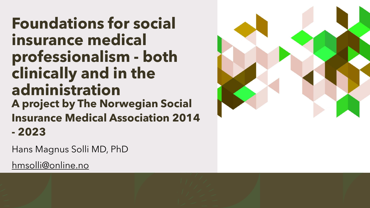**Foundations for social insurance medical professionalism - both clinically and in the administration A project by The Norwegian Social Insurance Medical Association 2014 - 2023**

Hans Magnus Solli MD, PhD

[hmsolli@online.no](mailto:hmsolli@online.no)

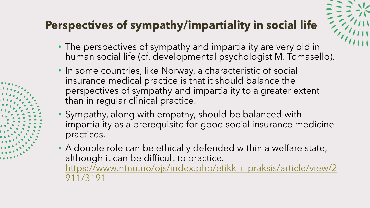#### **Perspectives of sympathy/impartiality in social life**

- 
- The perspectives of sympathy and impartiality are very old in human social life (cf. developmental psychologist M. Tomasello).
- In some countries, like Norway, a characteristic of social insurance medical practice is that it should balance the perspectives of sympathy and impartiality to a greater extent than in regular clinical practice.
- Sympathy, along with empathy, should be balanced with impartiality as a prerequisite for good social insurance medicine practices.
- A double role can be ethically defended within a welfare state, although it can be difficult to practice. [https://www.ntnu.no/ojs/index.php/etikk\\_i\\_praksis/article/view/2](https://www.ntnu.no/ojs/index.php/etikk_i_praksis/article/view/2911/3191) 911/3191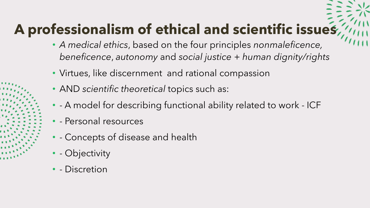### **A professionalism of ethical and scientific issues**

- *A medical ethics*, based on the four principles *nonmaleficence, beneficence*, *autonomy* and *social justice* + *human dignity/rights*
- Virtues, like discernment and rational compassion
- AND *scientific theoretical* topics such as:
- - A model for describing functional ability related to work ICF
- - Personal resources
- - Concepts of disease and health
- - Objectivity
- - Discretion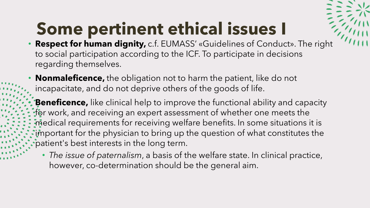# **Some pertinent ethical issues I**

- **Respect for human dignity,** c.f. EUMASS' «Guidelines of Conduct». The right to social participation according to the ICF. To participate in decisions regarding themselves.
- **Nonmaleficence,** the obligation not to harm the patient, like do not incapacitate, and do not deprive others of the goods of life.
- **Beneficence,** like clinical help to improve the functional ability and capacity for work, and receiving an expert assessment of whether one meets the medical requirements for receiving welfare benefits. In some situations it is important for the physician to bring up the question of what constitutes the patient's best interests in the long term.
	- *The issue of paternalism*, a basis of the welfare state. In clinical practice, however, co-determination should be the general aim.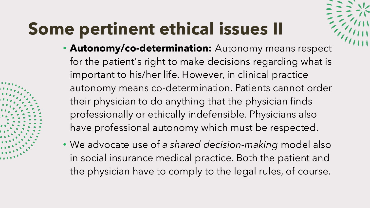# **Some pertinent ethical issues II**

- 
- **Autonomy/co-determination:** Autonomy means respect for the patient's right to make decisions regarding what is important to his/her life. However, in clinical practice autonomy means co-determination. Patients cannot order their physician to do anything that the physician finds professionally or ethically indefensible. Physicians also have professional autonomy which must be respected.
- We advocate use of *a shared decision-making* model also in social insurance medical practice. Both the patient and the physician have to comply to the legal rules, of course.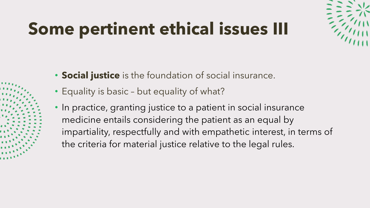# **Some pertinent ethical issues III**



- **Social justice** is the foundation of social insurance.
- Equality is basic but equality of what?
- In practice, granting justice to a patient in social insurance medicine entails considering the patient as an equal by impartiality, respectfully and with empathetic interest, in terms of the criteria for material justice relative to the legal rules.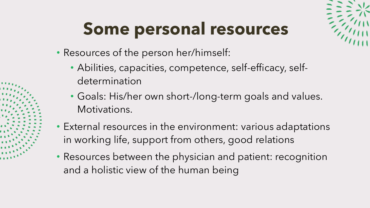# **Some personal resources**

- Resources of the person her/himself:
	- Abilities, capacities, competence, self-efficacy, selfdetermination
	- Goals: His/her own short-/long-term goals and values. Motivations.
- External resources in the environment: various adaptations in working life, support from others, good relations
- Resources between the physician and patient: recognition and a holistic view of the human being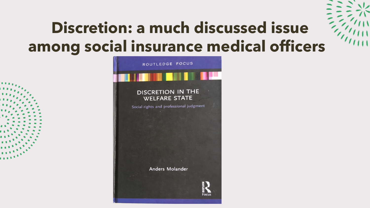

## **Discretion: a much discussed issue among social insurance medical officers**

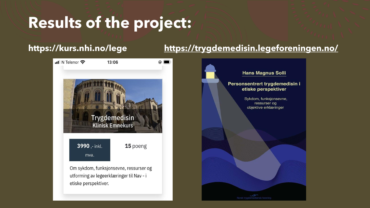### **Results of the project:**



#### **https://kurs.nhi.no/lege <https://trygdemedisin.legeforeningen.no/>**